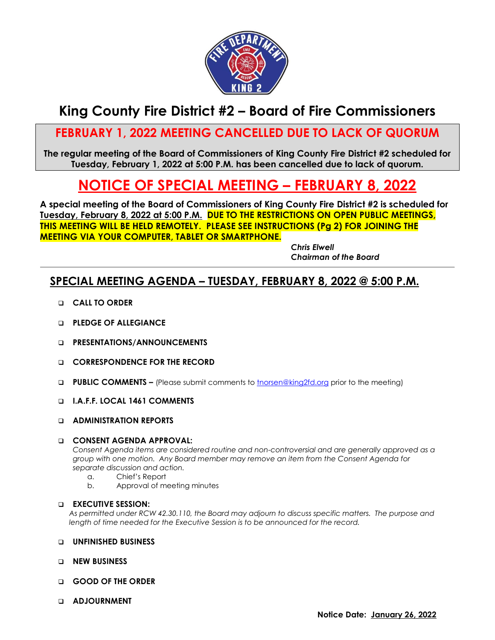

## **King County Fire District #2 – Board of Fire Commissioners**

## **FEBRUARY 1, 2022 MEETING CANCELLED DUE TO LACK OF QUORUM**

**The regular meeting of the Board of Commissioners of King County Fire District #2 scheduled for Tuesday, February 1, 2022 at 5:00 P.M. has been cancelled due to lack of quorum.**

# **NOTICE OF SPECIAL MEETING – FEBRUARY 8, 2022**

**A special meeting of the Board of Commissioners of King County Fire District #2 is scheduled for Tuesday, February 8, 2022 at 5:00 P.M. DUE TO THE RESTRICTIONS ON OPEN PUBLIC MEETINGS, THIS MEETING WILL BE HELD REMOTELY. PLEASE SEE INSTRUCTIONS (Pg 2) FOR JOINING THE MEETING VIA YOUR COMPUTER, TABLET OR SMARTPHONE.**

*Chris Elwell Chairman of the Board*

### **SPECIAL MEETING AGENDA – TUESDAY, FEBRUARY 8, 2022 @ 5:00 P.M.**

- ❑ **CALL TO ORDER**
- ❑ **PLEDGE OF ALLEGIANCE**
- ❑ **PRESENTATIONS/ANNOUNCEMENTS**
- ❑ **CORRESPONDENCE FOR THE RECORD**
- ❑ **PUBLIC COMMENTS –** (Please submit comments to [tnorsen@king2fd.org](mailto:tnorsen@king2fd.org) prior to the meeting)
- ❑ **I.A.F.F. LOCAL 1461 COMMENTS**
- ❑ **ADMINISTRATION REPORTS**

#### ❑ **CONSENT AGENDA APPROVAL:**

*Consent Agenda items are considered routine and non-controversial and are generally approved as a group with one motion. Any Board member may remove an item from the Consent Agenda for separate discussion and action.*

- a. Chief's Report
- b. Approval of meeting minutes

#### ❑ **EXECUTIVE SESSION:**

*As permitted under RCW 42.30.110, the Board may adjourn to discuss specific matters. The purpose and length of time needed for the Executive Session is to be announced for the record.*

- ❑ **UNFINISHED BUSINESS**
- ❑ **NEW BUSINESS**
- ❑ **GOOD OF THE ORDER**
- ❑ **ADJOURNMENT**